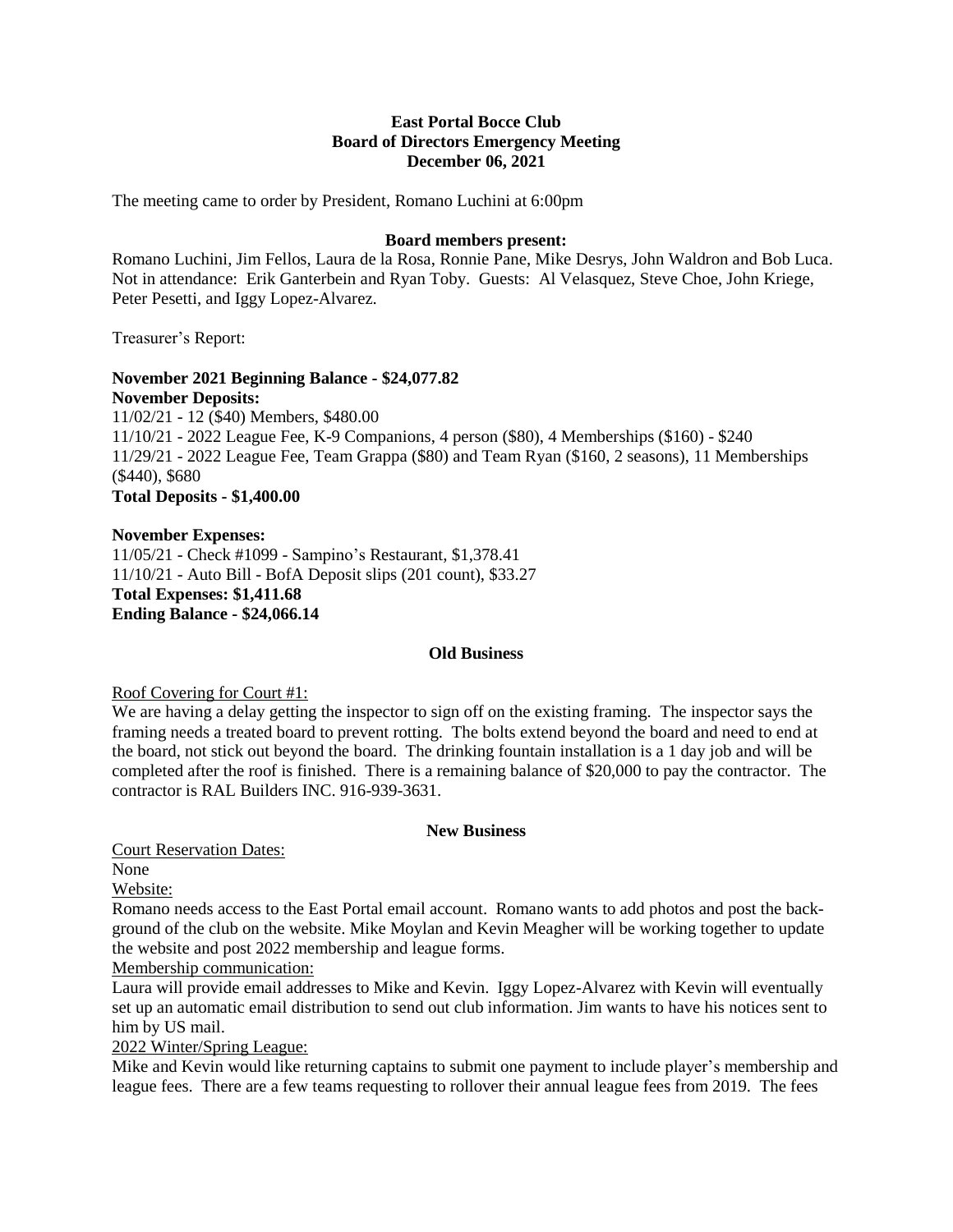## **East Portal Bocce Club Board of Directors Emergency Meeting December 06, 2021**

The meeting came to order by President, Romano Luchini at 6:00pm

## **Board members present:**

Romano Luchini, Jim Fellos, Laura de la Rosa, Ronnie Pane, Mike Desrys, John Waldron and Bob Luca. Not in attendance: Erik Ganterbein and Ryan Toby. Guests: Al Velasquez, Steve Choe, John Kriege, Peter Pesetti, and Iggy Lopez-Alvarez.

Treasurer's Report:

#### **November 2021 Beginning Balance - \$24,077.82 November Deposits:**

11/02/21 - 12 (\$40) Members, \$480.00 11/10/21 - 2022 League Fee, K-9 Companions, 4 person (\$80), 4 Memberships (\$160) - \$240 11/29/21 - 2022 League Fee, Team Grappa (\$80) and Team Ryan (\$160, 2 seasons), 11 Memberships (\$440), \$680 **Total Deposits - \$1,400.00**

**November Expenses:** 11/05/21 - Check #1099 - Sampino's Restaurant, \$1,378.41 11/10/21 - Auto Bill - BofA Deposit slips (201 count), \$33.27 **Total Expenses: \$1,411.68 Ending Balance - \$24,066.14**

### **Old Business**

Roof Covering for Court #1:

We are having a delay getting the inspector to sign off on the existing framing. The inspector says the framing needs a treated board to prevent rotting. The bolts extend beyond the board and need to end at the board, not stick out beyond the board. The drinking fountain installation is a 1 day job and will be completed after the roof is finished. There is a remaining balance of \$20,000 to pay the contractor. The contractor is RAL Builders INC. 916-939-3631.

### **New Business**

Court Reservation Dates:

None

Website:

Romano needs access to the East Portal email account. Romano wants to add photos and post the background of the club on the website. Mike Moylan and Kevin Meagher will be working together to update the website and post 2022 membership and league forms.

Membership communication:

Laura will provide email addresses to Mike and Kevin. Iggy Lopez-Alvarez with Kevin will eventually set up an automatic email distribution to send out club information. Jim wants to have his notices sent to him by US mail.

2022 Winter/Spring League:

Mike and Kevin would like returning captains to submit one payment to include player's membership and league fees. There are a few teams requesting to rollover their annual league fees from 2019. The fees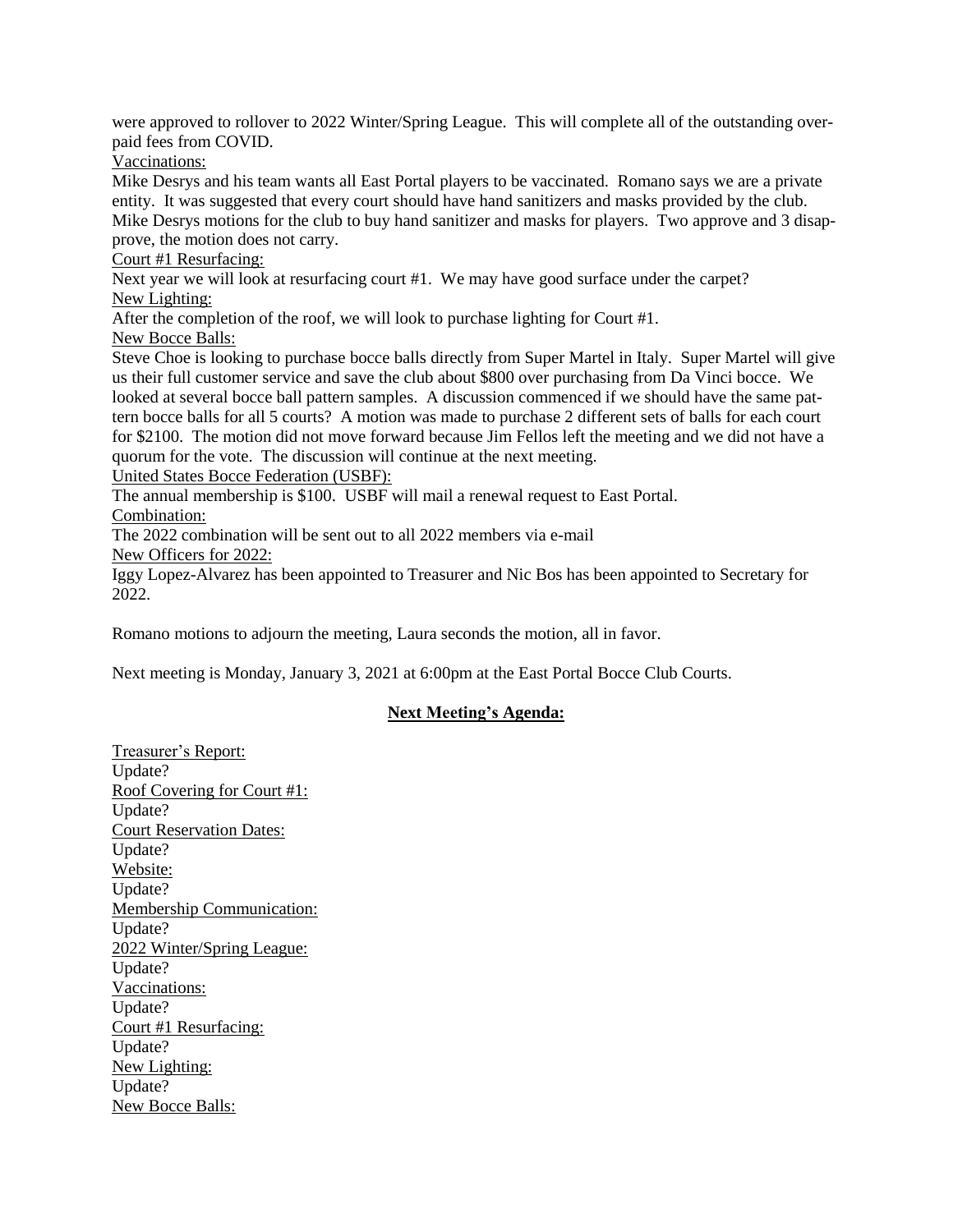were approved to rollover to 2022 Winter/Spring League. This will complete all of the outstanding overpaid fees from COVID.

Vaccinations:

Mike Desrys and his team wants all East Portal players to be vaccinated. Romano says we are a private entity. It was suggested that every court should have hand sanitizers and masks provided by the club. Mike Desrys motions for the club to buy hand sanitizer and masks for players. Two approve and 3 disapprove, the motion does not carry.

Court #1 Resurfacing:

Next year we will look at resurfacing court #1. We may have good surface under the carpet? New Lighting:

After the completion of the roof, we will look to purchase lighting for Court #1.

New Bocce Balls:

Steve Choe is looking to purchase bocce balls directly from Super Martel in Italy. Super Martel will give us their full customer service and save the club about \$800 over purchasing from Da Vinci bocce. We looked at several bocce ball pattern samples. A discussion commenced if we should have the same pattern bocce balls for all 5 courts? A motion was made to purchase 2 different sets of balls for each court for \$2100. The motion did not move forward because Jim Fellos left the meeting and we did not have a quorum for the vote. The discussion will continue at the next meeting.

United States Bocce Federation (USBF):

The annual membership is \$100. USBF will mail a renewal request to East Portal. Combination:

The 2022 combination will be sent out to all 2022 members via e-mail New Officers for 2022:

Iggy Lopez-Alvarez has been appointed to Treasurer and Nic Bos has been appointed to Secretary for 2022.

Romano motions to adjourn the meeting, Laura seconds the motion, all in favor.

Next meeting is Monday, January 3, 2021 at 6:00pm at the East Portal Bocce Club Courts.

# **Next Meeting's Agenda:**

Treasurer's Report: Update? Roof Covering for Court #1: Update? Court Reservation Dates: Update? Website: Update? Membership Communication: Update? 2022 Winter/Spring League: Update? Vaccinations: Update? Court #1 Resurfacing: Update? New Lighting: Update? New Bocce Balls: